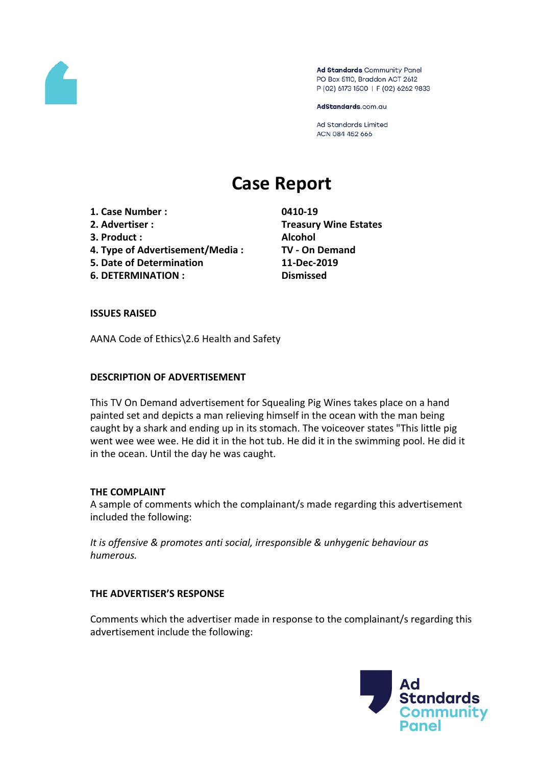

Ad Standards Community Panel PO Box 5110, Braddon ACT 2612 P (02) 6173 1500 | F (02) 6262 9833

AdStandards.com.au

Ad Standards Limited ACN 084 452 666

# **Case Report**

- **1. Case Number : 0410-19**
- 
- **3. Product : Alcohol**
- **4. Type of Advertisement/Media : TV - On Demand**
- **5. Date of Determination 11-Dec-2019**
- **6. DETERMINATION : Dismissed**

**2. Advertiser : Treasury Wine Estates**

# **ISSUES RAISED**

AANA Code of Ethics\2.6 Health and Safety

# **DESCRIPTION OF ADVERTISEMENT**

This TV On Demand advertisement for Squealing Pig Wines takes place on a hand painted set and depicts a man relieving himself in the ocean with the man being caught by a shark and ending up in its stomach. The voiceover states "This little pig went wee wee wee. He did it in the hot tub. He did it in the swimming pool. He did it in the ocean. Until the day he was caught.

#### **THE COMPLAINT**

A sample of comments which the complainant/s made regarding this advertisement included the following:

*It is offensive & promotes anti social, irresponsible & unhygenic behaviour as humerous.*

# **THE ADVERTISER'S RESPONSE**

Comments which the advertiser made in response to the complainant/s regarding this advertisement include the following:

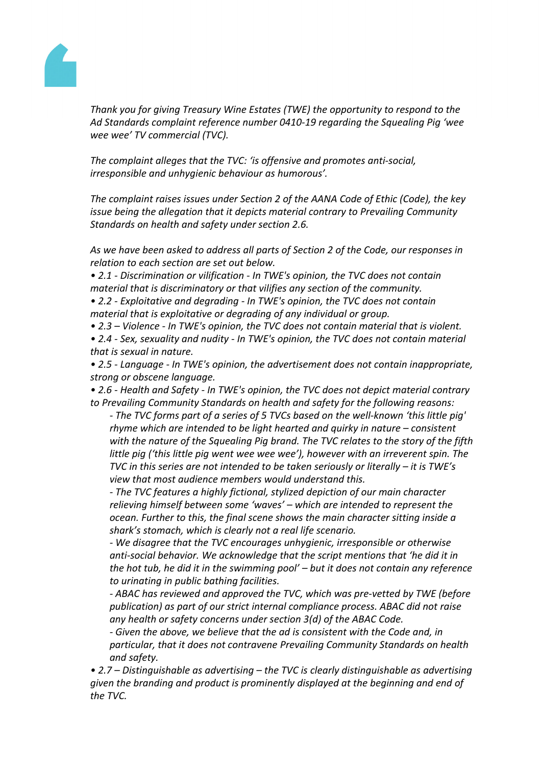

*Thank you for giving Treasury Wine Estates (TWE) the opportunity to respond to the Ad Standards complaint reference number 0410-19 regarding the Squealing Pig 'wee wee wee' TV commercial (TVC).*

*The complaint alleges that the TVC: 'is offensive and promotes anti-social, irresponsible and unhygienic behaviour as humorous'.*

*The complaint raises issues under Section 2 of the AANA Code of Ethic (Code), the key issue being the allegation that it depicts material contrary to Prevailing Community Standards on health and safety under section 2.6.*

*As we have been asked to address all parts of Section 2 of the Code, our responses in relation to each section are set out below.*

*• 2.1 - Discrimination or vilification - In TWE's opinion, the TVC does not contain material that is discriminatory or that vilifies any section of the community.*

*• 2.2 - Exploitative and degrading - In TWE's opinion, the TVC does not contain material that is exploitative or degrading of any individual or group.*

*• 2.3 – Violence - In TWE's opinion, the TVC does not contain material that is violent.*

*• 2.4 - Sex, sexuality and nudity - In TWE's opinion, the TVC does not contain material that is sexual in nature.*

*• 2.5 - Language - In TWE's opinion, the advertisement does not contain inappropriate, strong or obscene language.*

*• 2.6 - Health and Safety - In TWE's opinion, the TVC does not depict material contrary to Prevailing Community Standards on health and safety for the following reasons:*

*- The TVC forms part of a series of 5 TVCs based on the well-known 'this little pig' rhyme which are intended to be light hearted and quirky in nature – consistent with the nature of the Squealing Pig brand. The TVC relates to the story of the fifth little pig ('this little pig went wee wee wee'), however with an irreverent spin. The TVC in this series are not intended to be taken seriously or literally – it is TWE's view that most audience members would understand this.*

*- The TVC features a highly fictional, stylized depiction of our main character relieving himself between some 'waves' – which are intended to represent the ocean. Further to this, the final scene shows the main character sitting inside a shark's stomach, which is clearly not a real life scenario.*

*- We disagree that the TVC encourages unhygienic, irresponsible or otherwise anti-social behavior. We acknowledge that the script mentions that 'he did it in the hot tub, he did it in the swimming pool' – but it does not contain any reference to urinating in public bathing facilities.*

*- ABAC has reviewed and approved the TVC, which was pre-vetted by TWE (before publication) as part of our strict internal compliance process. ABAC did not raise any health or safety concerns under section 3(d) of the ABAC Code.*

*- Given the above, we believe that the ad is consistent with the Code and, in particular, that it does not contravene Prevailing Community Standards on health and safety.*

*• 2.7 – Distinguishable as advertising – the TVC is clearly distinguishable as advertising given the branding and product is prominently displayed at the beginning and end of the TVC.*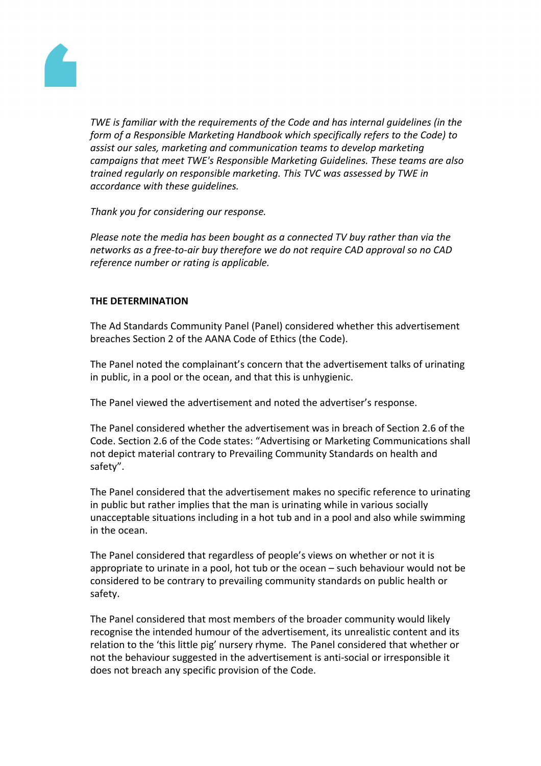

*TWE is familiar with the requirements of the Code and has internal guidelines (in the form of a Responsible Marketing Handbook which specifically refers to the Code) to assist our sales, marketing and communication teams to develop marketing campaigns that meet TWE's Responsible Marketing Guidelines. These teams are also trained regularly on responsible marketing. This TVC was assessed by TWE in accordance with these guidelines.*

*Thank you for considering our response.*

*Please note the media has been bought as a connected TV buy rather than via the networks as a free-to-air buy therefore we do not require CAD approval so no CAD reference number or rating is applicable.*

# **THE DETERMINATION**

The Ad Standards Community Panel (Panel) considered whether this advertisement breaches Section 2 of the AANA Code of Ethics (the Code).

The Panel noted the complainant's concern that the advertisement talks of urinating in public, in a pool or the ocean, and that this is unhygienic.

The Panel viewed the advertisement and noted the advertiser's response.

The Panel considered whether the advertisement was in breach of Section 2.6 of the Code. Section 2.6 of the Code states: "Advertising or Marketing Communications shall not depict material contrary to Prevailing Community Standards on health and safety".

The Panel considered that the advertisement makes no specific reference to urinating in public but rather implies that the man is urinating while in various socially unacceptable situations including in a hot tub and in a pool and also while swimming in the ocean.

The Panel considered that regardless of people's views on whether or not it is appropriate to urinate in a pool, hot tub or the ocean – such behaviour would not be considered to be contrary to prevailing community standards on public health or safety.

The Panel considered that most members of the broader community would likely recognise the intended humour of the advertisement, its unrealistic content and its relation to the 'this little pig' nursery rhyme. The Panel considered that whether or not the behaviour suggested in the advertisement is anti-social or irresponsible it does not breach any specific provision of the Code.